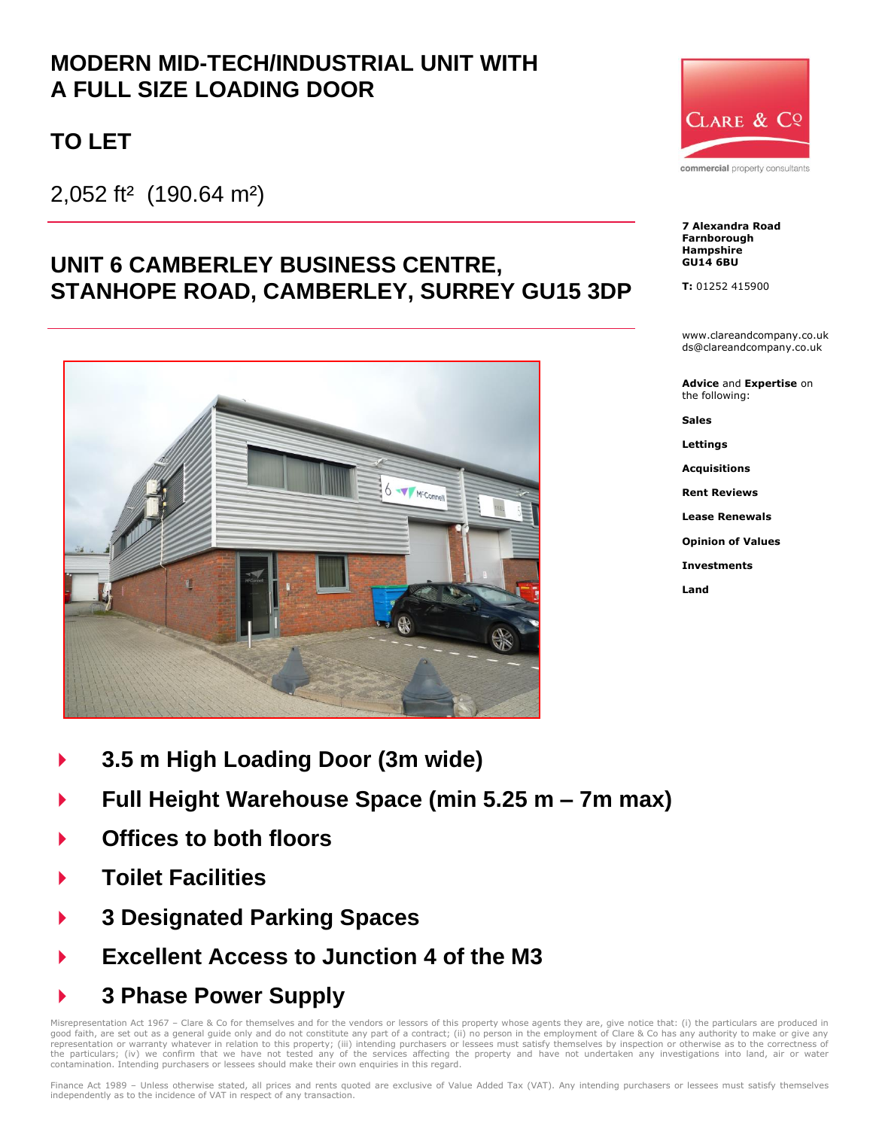## **MODERN MID-TECH/INDUSTRIAL UNIT WITH A FULL SIZE LOADING DOOR**

# **TO LET**

2,052 ft² (190.64 m²)

## **UNIT 6 CAMBERLEY BUSINESS CENTRE, STANHOPE ROAD, CAMBERLEY, SURREY GU15 3DP**



- **3.5 m High Loading Door (3m wide)**
- **Full Height Warehouse Space (min 5.25 m – 7m max)**
- **Offices to both floors**
- **Toilet Facilities**
- **3 Designated Parking Spaces**
- **Excellent Access to Junction 4 of the M3**
- **3 Phase Power Supply**

Misrepresentation Act 1967 – Clare & Co for themselves and for the vendors or lessors of this property whose agents they are, give notice that: (i) the particulars are produced in good faith, are set out as a general guide only and do not constitute any part of a contract; (ii) no person in the employment of Clare & Co has any authority to make or give any<br>representation or warranty whatever in rela the particulars; (iv) we confirm that we have not tested any of the services affecting the property and have not undertaken any investigations into land, air or water contamination. Intending purchasers or lessees should make their own enquiries in this regard.



commercial property consultants

**7 Alexandra Road Farnborough Hampshire GU14 6BU**

**T:** 01252 415900

www.clareandcompany.co.uk ds@clareandcompany.co.uk

**Advice** and **Expertise** on the following:

**Sales**

**Lettings**

**Acquisitions**

**Rent Reviews**

**Lease Renewals**

**Opinion of Values**

**Investments**

**Land**

Finance Act 1989 – Unless otherwise stated, all prices and rents quoted are exclusive of Value Added Tax (VAT). Any intending purchasers or lessees must satisfy themselves independently as to the incidence of VAT in respect of any transaction.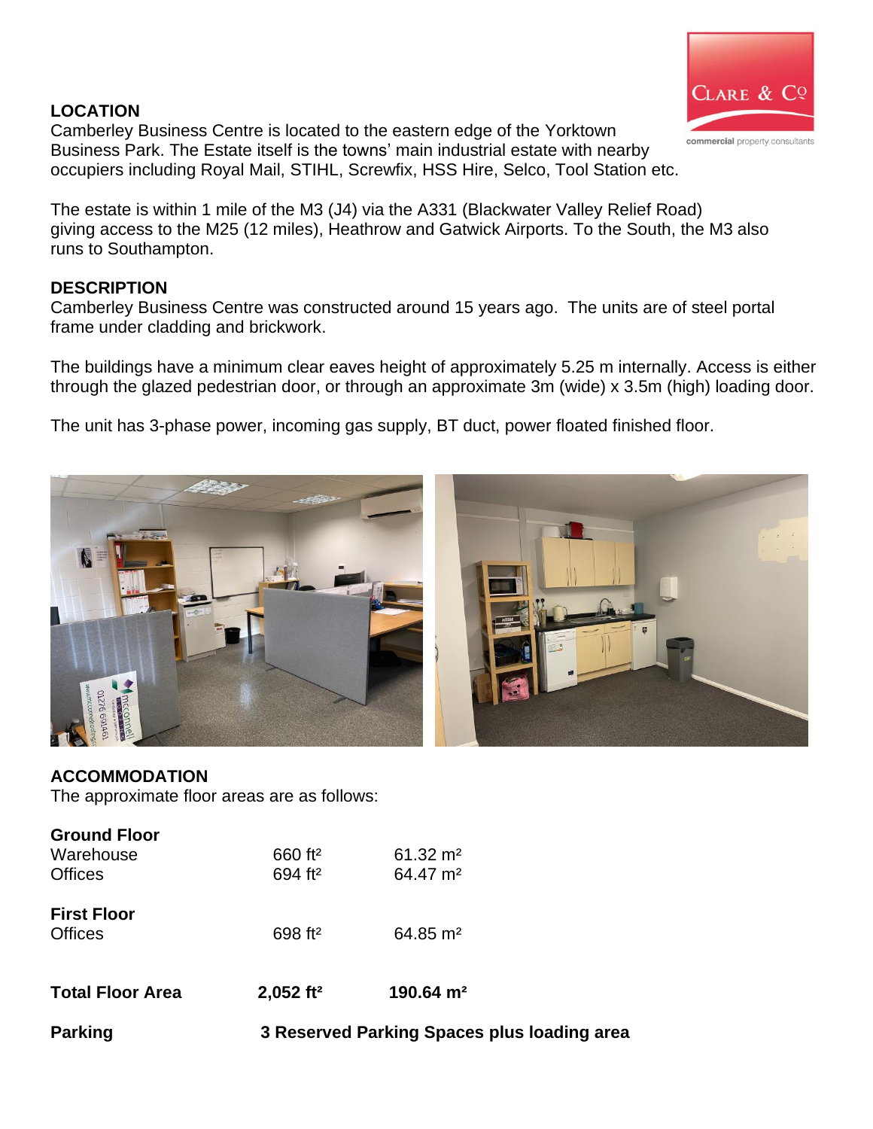#### **LOCATION**



Camberley Business Centre is located to the eastern edge of the Yorktown Business Park. The Estate itself is the towns' main industrial estate with nearby occupiers including Royal Mail, STIHL, Screwfix, HSS Hire, Selco, Tool Station etc.

The estate is within 1 mile of the M3 (J4) via the A331 (Blackwater Valley Relief Road) giving access to the M25 (12 miles), Heathrow and Gatwick Airports. To the South, the M3 also runs to Southampton.

#### **DESCRIPTION**

Camberley Business Centre was constructed around 15 years ago. The units are of steel portal frame under cladding and brickwork.

The buildings have a minimum clear eaves height of approximately 5.25 m internally. Access is either through the glazed pedestrian door, or through an approximate 3m (wide) x 3.5m (high) loading door.

The unit has 3-phase power, incoming gas supply, BT duct, power floated finished floor.



### **ACCOMMODATION**

The approximate floor areas are as follows:

| <b>Parking</b>                                     | 3 Reserved Parking Spaces plus loading area |                                             |
|----------------------------------------------------|---------------------------------------------|---------------------------------------------|
| <b>Total Floor Area</b>                            | $2,052$ ft <sup>2</sup>                     | 190.64 $m2$                                 |
| <b>First Floor</b><br><b>Offices</b>               | 698 ft <sup>2</sup>                         | $64.85 \text{ m}^2$                         |
| <b>Ground Floor</b><br>Warehouse<br><b>Offices</b> | 660 ft <sup>2</sup><br>694 ft <sup>2</sup>  | $61.32 \text{ m}^2$<br>64.47 m <sup>2</sup> |